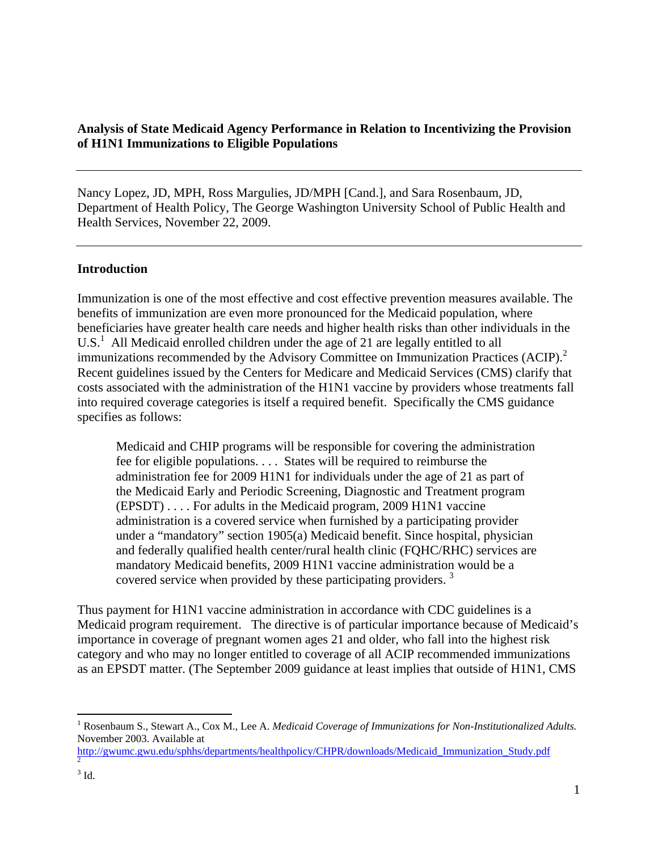# **Analysis of State Medicaid Agency Performance in Relation to Incentivizing the Provision of H1N1 Immunizations to Eligible Populations**

Nancy Lopez, JD, MPH, Ross Margulies, JD/MPH [Cand.], and Sara Rosenbaum, JD, Department of Health Policy, The George Washington University School of Public Health and Health Services, November 22, 2009.

#### **Introduction**

Immunization is one of the most effective and cost effective prevention measures available. The benefits of immunization are even more pronounced for the Medicaid population, where beneficiaries have greater health care needs and higher health risks than other individuals in the  $U.S.<sup>1</sup>$  All Medicaid enrolled children under the age of 21 are legally entitled to all immunizations recommended by the Advisory Committee on Immunization Practices (ACIP).<sup>2</sup> Recent guidelines issued by the Centers for Medicare and Medicaid Services (CMS) clarify that costs associated with the administration of the H1N1 vaccine by providers whose treatments fall into required coverage categories is itself a required benefit. Specifically the CMS guidance specifies as follows:

Medicaid and CHIP programs will be responsible for covering the administration fee for eligible populations. . . . States will be required to reimburse the administration fee for 2009 H1N1 for individuals under the age of 21 as part of the Medicaid Early and Periodic Screening, Diagnostic and Treatment program (EPSDT) . . . . For adults in the Medicaid program, 2009 H1N1 vaccine administration is a covered service when furnished by a participating provider under a "mandatory" section 1905(a) Medicaid benefit. Since hospital, physician and federally qualified health center/rural health clinic (FQHC/RHC) services are mandatory Medicaid benefits, 2009 H1N1 vaccine administration would be a covered service when provided by these participating providers.<sup>3</sup>

Thus payment for H1N1 vaccine administration in accordance with CDC guidelines is a Medicaid program requirement. The directive is of particular importance because of Medicaid's importance in coverage of pregnant women ages 21 and older, who fall into the highest risk category and who may no longer entitled to coverage of all ACIP recommended immunizations as an EPSDT matter. (The September 2009 guidance at least implies that outside of H1N1, CMS

1

<sup>&</sup>lt;sup>1</sup> Rosenbaum S., Stewart A., Cox M., Lee A. *Medicaid Coverage of Immunizations for Non-Institutionalized Adults.* November 2003. Available at

http://gwumc.gwu.edu/sphhs/departments/healthpolicy/CHPR/downloads/Medicaid\_Immunization\_Study.pdf 2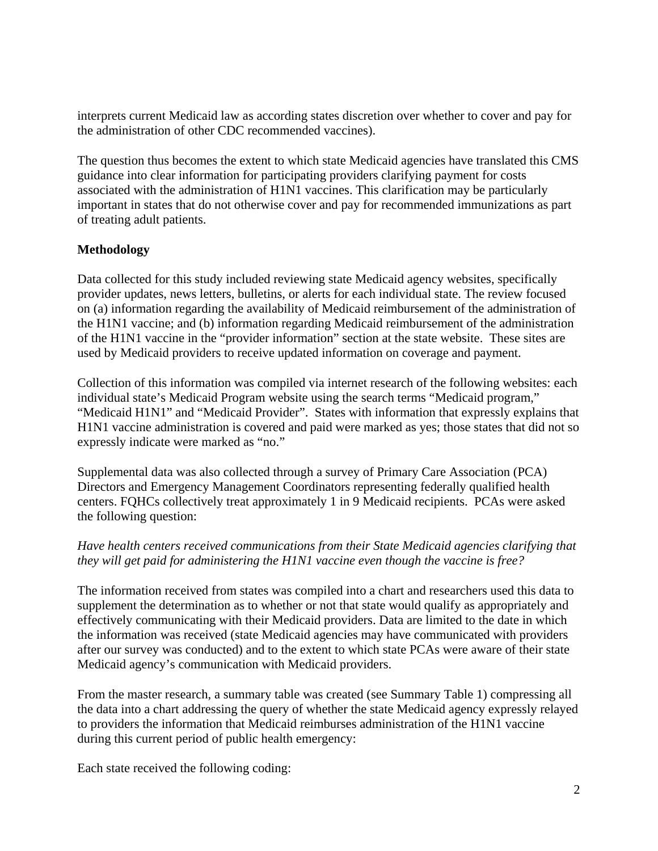interprets current Medicaid law as according states discretion over whether to cover and pay for the administration of other CDC recommended vaccines).

The question thus becomes the extent to which state Medicaid agencies have translated this CMS guidance into clear information for participating providers clarifying payment for costs associated with the administration of H1N1 vaccines. This clarification may be particularly important in states that do not otherwise cover and pay for recommended immunizations as part of treating adult patients.

# **Methodology**

Data collected for this study included reviewing state Medicaid agency websites, specifically provider updates, news letters, bulletins, or alerts for each individual state. The review focused on (a) information regarding the availability of Medicaid reimbursement of the administration of the H1N1 vaccine; and (b) information regarding Medicaid reimbursement of the administration of the H1N1 vaccine in the "provider information" section at the state website. These sites are used by Medicaid providers to receive updated information on coverage and payment.

Collection of this information was compiled via internet research of the following websites: each individual state's Medicaid Program website using the search terms "Medicaid program," "Medicaid H1N1" and "Medicaid Provider". States with information that expressly explains that H1N1 vaccine administration is covered and paid were marked as yes; those states that did not so expressly indicate were marked as "no."

Supplemental data was also collected through a survey of Primary Care Association (PCA) Directors and Emergency Management Coordinators representing federally qualified health centers. FQHCs collectively treat approximately 1 in 9 Medicaid recipients. PCAs were asked the following question:

#### *Have health centers received communications from their State Medicaid agencies clarifying that they will get paid for administering the H1N1 vaccine even though the vaccine is free?*

The information received from states was compiled into a chart and researchers used this data to supplement the determination as to whether or not that state would qualify as appropriately and effectively communicating with their Medicaid providers. Data are limited to the date in which the information was received (state Medicaid agencies may have communicated with providers after our survey was conducted) and to the extent to which state PCAs were aware of their state Medicaid agency's communication with Medicaid providers.

From the master research, a summary table was created (see Summary Table 1) compressing all the data into a chart addressing the query of whether the state Medicaid agency expressly relayed to providers the information that Medicaid reimburses administration of the H1N1 vaccine during this current period of public health emergency:

Each state received the following coding: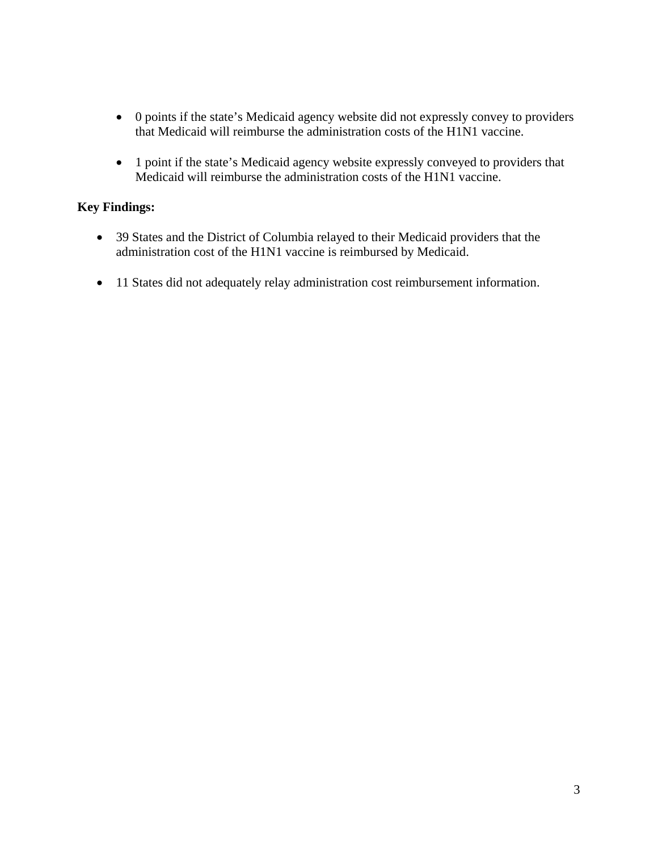- 0 points if the state's Medicaid agency website did not expressly convey to providers that Medicaid will reimburse the administration costs of the H1N1 vaccine.
- 1 point if the state's Medicaid agency website expressly conveyed to providers that Medicaid will reimburse the administration costs of the H1N1 vaccine.

# **Key Findings:**

- 39 States and the District of Columbia relayed to their Medicaid providers that the administration cost of the H1N1 vaccine is reimbursed by Medicaid.
- 11 States did not adequately relay administration cost reimbursement information.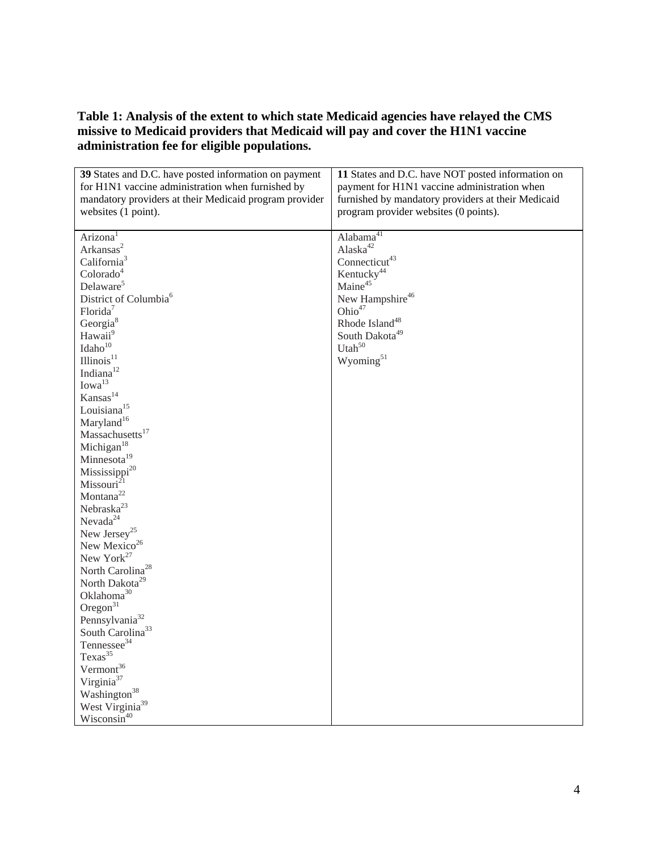# **Table 1: Analysis of the extent to which state Medicaid agencies have relayed the CMS missive to Medicaid providers that Medicaid will pay and cover the H1N1 vaccine administration fee for eligible populations.**

| 39 States and D.C. have posted information on payment                         | 11 States and D.C. have NOT posted information on                                                  |
|-------------------------------------------------------------------------------|----------------------------------------------------------------------------------------------------|
| for H1N1 vaccine administration when furnished by                             | payment for H1N1 vaccine administration when<br>furnished by mandatory providers at their Medicaid |
| mandatory providers at their Medicaid program provider<br>websites (1 point). | program provider websites (0 points).                                                              |
|                                                                               |                                                                                                    |
| Arizona <sup>1</sup>                                                          | Alabama <sup>41</sup>                                                                              |
| Arkansas <sup>2</sup>                                                         | Alaska <sup>42</sup>                                                                               |
| California <sup>3</sup>                                                       | Connecticut <sup>43</sup>                                                                          |
| Colorado <sup>4</sup>                                                         | Kentucky <sup>44</sup>                                                                             |
| Delaware <sup>5</sup>                                                         | Maine <sup>45</sup>                                                                                |
| District of Columbia <sup>6</sup>                                             | New Hampshire <sup>46</sup>                                                                        |
| Florida <sup>7</sup>                                                          | Ohio <sup>47</sup>                                                                                 |
| Georgia <sup>8</sup>                                                          | Rhode Island <sup>48</sup>                                                                         |
| Hawaii <sup>9</sup>                                                           | South Dakota <sup>49</sup>                                                                         |
| Idaho <sup>10</sup>                                                           | Utah <sup>50</sup>                                                                                 |
| [Illinois <sup>11</sup> ]                                                     | Wyoming <sup>51</sup>                                                                              |
| Indiana <sup>12</sup>                                                         |                                                                                                    |
| Iowa <sup>13</sup>                                                            |                                                                                                    |
| Kansas <sup>14</sup>                                                          |                                                                                                    |
| Louisiana <sup>15</sup>                                                       |                                                                                                    |
| Maryland <sup>16</sup>                                                        |                                                                                                    |
| Massachusetts <sup>17</sup>                                                   |                                                                                                    |
| Michigan <sup>18</sup>                                                        |                                                                                                    |
| Minnesota <sup>19</sup>                                                       |                                                                                                    |
| Mississippi <sup>20</sup>                                                     |                                                                                                    |
| Missouri <sup>21</sup>                                                        |                                                                                                    |
| Montana <sup>22</sup>                                                         |                                                                                                    |
| Nebraska <sup>23</sup>                                                        |                                                                                                    |
| Nevada <sup>24</sup>                                                          |                                                                                                    |
| New Jersey <sup>25</sup>                                                      |                                                                                                    |
| New Mexico <sup>26</sup>                                                      |                                                                                                    |
| New York <sup>27</sup>                                                        |                                                                                                    |
| North Carolina <sup>28</sup>                                                  |                                                                                                    |
| North Dakota <sup>29</sup>                                                    |                                                                                                    |
| Oklahoma <sup>30</sup>                                                        |                                                                                                    |
| Oregon $31$                                                                   |                                                                                                    |
| Pennsylvania <sup>32</sup>                                                    |                                                                                                    |
| South Carolina <sup>33</sup>                                                  |                                                                                                    |
| Tennessee <sup>34</sup>                                                       |                                                                                                    |
| Texas <sup>35</sup>                                                           |                                                                                                    |
| Vermont <sup>36</sup>                                                         |                                                                                                    |
| Virginia <sup>37</sup>                                                        |                                                                                                    |
| Washington <sup>38</sup>                                                      |                                                                                                    |
| West Virginia <sup>39</sup>                                                   |                                                                                                    |
| Wisconsin <sup>40</sup>                                                       |                                                                                                    |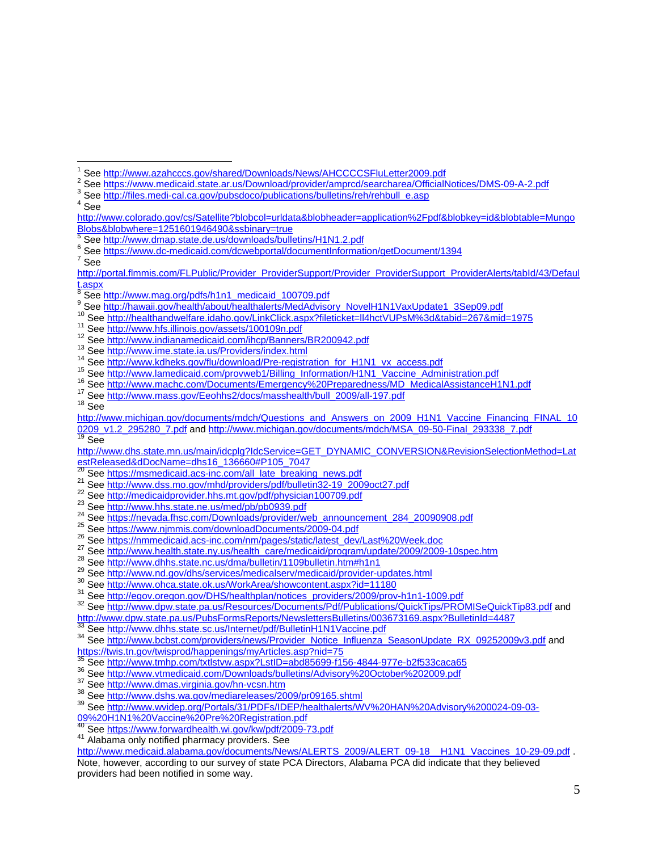- <sup>3</sup> See http://files.medi-cal.ca.gov/pubsdoco/publications/bulletins/reh/rehbull\_e.asp
- See

 $\overline{a}$ 

 $<sup>7</sup>$  See</sup>

- 
- 
- 

0209\_v1.2\_295280\_7.pdf and http://www.michigan.gov/documents/mdch/MSA\_09-50-Final\_293338\_7.pdf 19 See

http://www.dhs.state.mn.us/main/idcplg?IdcService=GET\_DYNAMIC\_CONVERSION&RevisionSelectionMethod=Lat estReleased&dDocName=dhs16\_136660#P105\_7047<br><sup>20</sup> See https://msmedicaid.acs-inc.com/all\_late\_breaking\_news.pdf

- 
- 
- 
- 
- 
- 
- 
- 
- 
- 
- 
- 

<sup>21</sup> See http://www.dss.mo.gov/mhd/providers/pdf/bulletin32-19 2009oct27.pdf<br>
<sup>22</sup> See http://medicaidprovider.hhs.mt.gov/pdf/physician100709.pdf<br>
<sup>23</sup> See http://www.hhs.state.ne.us/med/pbpb939.pdf<br>
<sup>24</sup> See https://www.h

33 See http://www.dhhs.state.sc.us/Internet/pdf/BulletinH1N1Vaccine.pdf<br>34 See http://www.bcbst.com/providers/news/Provider\_Notice\_Influenza\_SeasonUpdate\_RX\_09252009v3.pdf and https://twis.tn.gov/twisprod/happenings/myArticles.asp?nid=75<br>
See http://www.tmhp.com/txtlstvw.aspx?LstID=abd85699-f156-4844-977e-b2f533caca65<br>
See http://www.tmedicaid.com/Downloads/bulletins/Advisory%20October%202009.pd

- 
- 
- 

09%20H1N1%20Vaccine%20Pre%20Registration.pdf

http://www.medicaid.alabama.gov/documents/News/ALERTS\_2009/ALERT\_09-18\_\_H1N1\_Vaccines\_10-29-09.pdf . Note, however, according to our survey of state PCA Directors, Alabama PCA did indicate that they believed providers had been notified in some way.

<sup>1</sup> <sup>1</sup> See http://www.azahcccs.gov/shared/Downloads/News/AHCCCCSFluLetter2009.pdf<br><sup>2</sup> See https://www.modicaid.state.or.us/Download/provider/amprod/coarcharea/Official

See https://www.medicaid.state.ar.us/Download/provider/amprcd/searcharea/OfficialNotices/DMS-09-A-2.pdf

http://www.colorado.gov/cs/Satellite?blobcol=urldata&blobheader=application%2Fpdf&blobkey=id&blobtable=Mungo Blobs&blobwhere=1251601946490&ssbinary=true

<sup>5</sup> See http://www.dmap.state.de.us/downloads/bulletins/H1N1.2.pdf

See https://www.dc-medicaid.com/dcwebportal/documentInformation/getDocument/1394 <sup>7</sup>

http://portal.flmmis.com/FLPublic/Provider\_ProviderSupport/Provider\_ProviderSupport\_ProviderAlerts/tabId/43/Defaul t.aspx

<sup>8</sup>

<sup>&</sup>lt;sup>8</sup> See http://www.mag.org/pdfs/h1n1\_medicaid\_100709.pdf<br>9 See http://hawaii.gov/health/about/healthalerts/MedAdvisory\_NovelH1N1VaxUpdate1\_3Sep09.pdf

bleve http://healthandwelfare.idaho.gov/LinkClick.aspx?fileticket=ll4hctVUPsM%3d&tabid=267&mid=1975<br>
19 See http://www.hfs.illinois.gov/assets/100109n.pdf<br>
19 See http://www.imdianamedicaid.com/ihcp/Banners/BR200942.pdf<br>
1

http://www.michigan.gov/documents/mdch/Questions\_and\_Answers\_on\_2009\_H1N1\_Vaccine\_Financing\_FINAL\_10

<sup>&</sup>lt;sup>40</sup> See <u>https://www.forwardhealth.wi.gov/kw/pdf/2009-73.pdf</u><br><sup>41</sup> Alabama only notified pharmacy providers. See